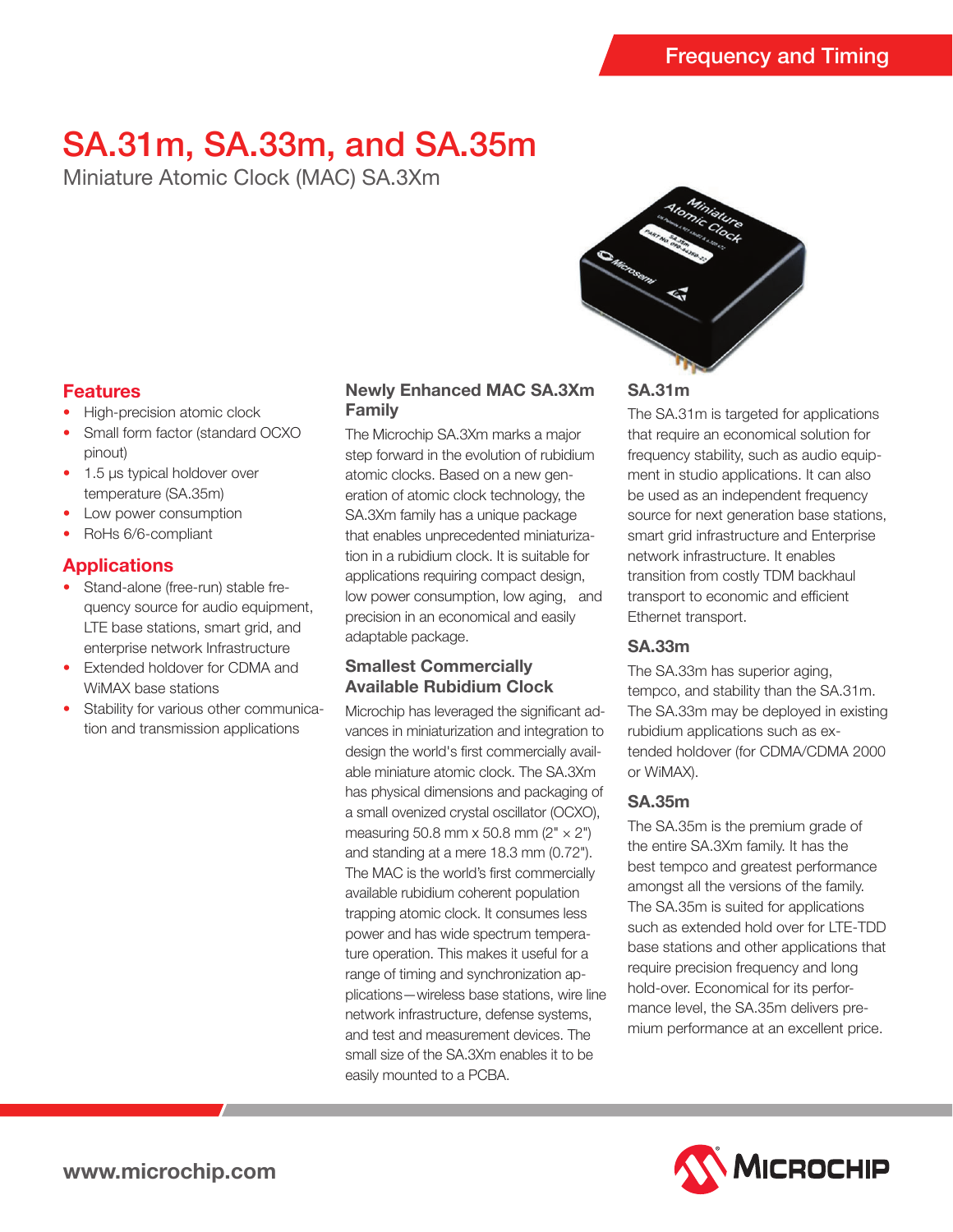# SA.31m, SA.33m, and SA.35m

Miniature Atomic Clock (MAC) SA.3Xm

## **Features**

- High-precision atomic clock
- Small form factor (standard OCXO pinout)
- 1.5 μs typical holdover over temperature (SA.35m)
- Low power consumption
- RoHs 6/6-compliant

## **Applications**

- Stand-alone (free-run) stable frequency source for audio equipment, LTE base stations, smart grid, and enterprise network Infrastructure
- Extended holdover for CDMA and WiMAX base stations
- Stability for various other communication and transmission applications

## **Newly Enhanced MAC SA.3Xm Family**

The Microchip SA.3Xm marks a major step forward in the evolution of rubidium atomic clocks. Based on a new generation of atomic clock technology, the SA.3Xm family has a unique package that enables unprecedented miniaturization in a rubidium clock. It is suitable for applications requiring compact design, low power consumption, low aging, and precision in an economical and easily adaptable package.

## **Smallest Commercially Available Rubidium Clock**

Microchip has leveraged the significant advances in miniaturization and integration to design the world's first commercially available miniature atomic clock. The SA.3Xm has physical dimensions and packaging of a small ovenized crystal oscillator (OCXO), measuring 50.8 mm  $\times$  50.8 mm (2"  $\times$  2") and standing at a mere 18.3 mm (0.72"). The MAC is the world's first commercially available rubidium coherent population trapping atomic clock. It consumes less power and has wide spectrum temperature operation. This makes it useful for a range of timing and synchronization applications—wireless base stations, wire line network infrastructure, defense systems, and test and measurement devices. The small size of the SA.3Xm enables it to be easily mounted to a PCBA.



## **SA.31m**

The SA.31m is targeted for applications that require an economical solution for frequency stability, such as audio equipment in studio applications. It can also be used as an independent frequency source for next generation base stations, smart grid infrastructure and Enterprise network infrastructure. It enables transition from costly TDM backhaul transport to economic and efficient Ethernet transport.

## **SA.33m**

The SA.33m has superior aging, tempco, and stability than the SA.31m. The SA.33m may be deployed in existing rubidium applications such as extended holdover (for CDMA/CDMA 2000 or WiMAX).

## **SA.35m**

The SA.35m is the premium grade of the entire SA.3Xm family. It has the best tempco and greatest performance amongst all the versions of the family. The SA.35m is suited for applications such as extended hold over for LTE-TDD base stations and other applications that require precision frequency and long hold-over. Economical for its performance level, the SA.35m delivers premium performance at an excellent price.

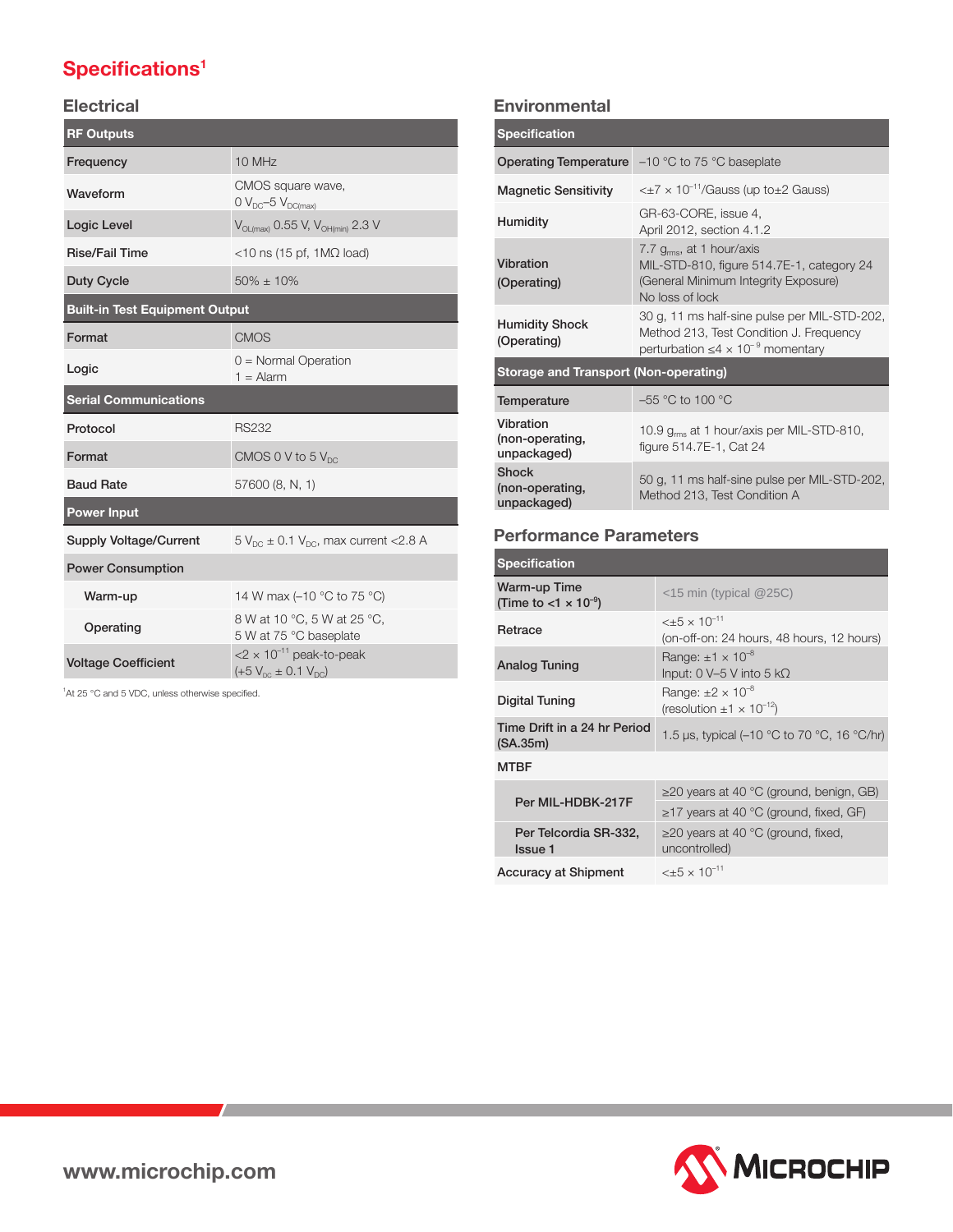## **Specifications<sup>1</sup>**

## **Electrical**

| <b>RF Outputs</b>                     |                                                                               |  |
|---------------------------------------|-------------------------------------------------------------------------------|--|
| Frequency                             | 10 MHz                                                                        |  |
| Waveform                              | CMOS square wave,<br>$0 V_{DC} - 5 V_{DC(max)}$                               |  |
| Logic Level                           | $V_{OL(max)}$ 0.55 V, $V_{OH(min)}$ 2.3 V                                     |  |
| <b>Rise/Fail Time</b>                 | $<$ 10 ns (15 pf, 1M $\Omega$ load)                                           |  |
| <b>Duty Cycle</b>                     | $50\% + 10\%$                                                                 |  |
| <b>Built-in Test Equipment Output</b> |                                                                               |  |
| Format                                | <b>CMOS</b>                                                                   |  |
| Logic                                 | $0 =$ Normal Operation<br>$1 =$ Alarm                                         |  |
| <b>Serial Communications</b>          |                                                                               |  |
| Protocol                              | <b>RS232</b>                                                                  |  |
| Format                                | CMOS 0 V to 5 $V_{DC}$                                                        |  |
| <b>Baud Rate</b>                      | 57600 (8, N, 1)                                                               |  |
| <b>Power Input</b>                    |                                                                               |  |
| <b>Supply Voltage/Current</b>         | $5 V_{DC} \pm 0.1 V_{DC}$ , max current < 2.8 A                               |  |
| <b>Power Consumption</b>              |                                                                               |  |
| Warm-up                               | 14 W max (-10 °C to 75 °C)                                                    |  |
| Operating                             | 8 W at 10 °C, 5 W at 25 °C,<br>5 W at 75 °C baseplate                         |  |
| <b>Voltage Coefficient</b>            | $<$ 2 $\times$ 10 <sup>-11</sup> peak-to-peak<br>$(+5 V_{nc} \pm 0.1 V_{nc})$ |  |

<sup>1</sup>At 25 °C and 5 VDC, unless otherwise specified.

## **Environmental**

| <b>Specification</b>                           |                                                                                                                                           |  |
|------------------------------------------------|-------------------------------------------------------------------------------------------------------------------------------------------|--|
|                                                | <b>Operating Temperature</b> $-10$ °C to 75 °C baseplate                                                                                  |  |
| <b>Magnetic Sensitivity</b>                    | $\epsilon$ $\pm$ 7 $\times$ 10 <sup>-11</sup> /Gauss (up to $\pm$ 2 Gauss)                                                                |  |
| <b>Humidity</b>                                | GR-63-CORE, issue 4,<br>April 2012, section 4.1.2                                                                                         |  |
| Vibration<br>(Operating)                       | 7.7 $g_{rms}$ , at 1 hour/axis<br>MIL-STD-810, figure 514.7E-1, category 24<br>(General Minimum Integrity Exposure)<br>No loss of lock    |  |
| <b>Humidity Shock</b><br>(Operating)           | 30 g, 11 ms half-sine pulse per MIL-STD-202,<br>Method 213, Test Condition J. Frequency<br>perturbation $\leq 4 \times 10^{-9}$ momentary |  |
| <b>Storage and Transport (Non-operating)</b>   |                                                                                                                                           |  |
| Temperature                                    | $-55$ °C to 100 °C                                                                                                                        |  |
| Vibration<br>(non-operating,<br>unpackaged)    | 10.9 g <sub>ms</sub> at 1 hour/axis per MIL-STD-810,<br>figure 514.7E-1, Cat 24                                                           |  |
| <b>Shock</b><br>(non-operating,<br>unpackaged) | 50 g, 11 ms half-sine pulse per MIL-STD-202,<br>Method 213, Test Condition A                                                              |  |

## **Performance Parameters**

| Specification                                              |                                                                                  |
|------------------------------------------------------------|----------------------------------------------------------------------------------|
| Warm-up Time<br>(Time to $<$ 1 $\times$ 10 <sup>-9</sup> ) | $<$ 15 min (typical @25C)                                                        |
| Retrace                                                    | $\lt$ +5 $\times$ 10 <sup>-11</sup><br>(on-off-on: 24 hours, 48 hours, 12 hours) |
| Analog Tuning                                              | Range: $\pm 1 \times 10^{-8}$<br>Input: 0 V–5 V into 5 kΩ                        |
| Digital Tuning                                             | Range: $\pm 2 \times 10^{-8}$<br>(resolution $\pm 1 \times 10^{-12}$ )           |
| Time Drift in a 24 hr Period<br>(SA.35m)                   | 1.5 µs, typical (-10 $\degree$ C to 70 $\degree$ C, 16 $\degree$ C/hr)           |
| <b>MTBF</b>                                                |                                                                                  |
|                                                            | $\geq$ 20 years at 40 °C (ground, benign, GB)                                    |
| Per MIL-HDBK-217F                                          | $\geq$ 17 years at 40 °C (ground, fixed, GF)                                     |
| Per Telcordia SR-332,<br>Issue 1                           | $\geq$ 20 years at 40 °C (ground, fixed,<br>uncontrolled)                        |
| <b>Accuracy at Shipment</b>                                | $< \pm 5 \times 10^{-11}$                                                        |